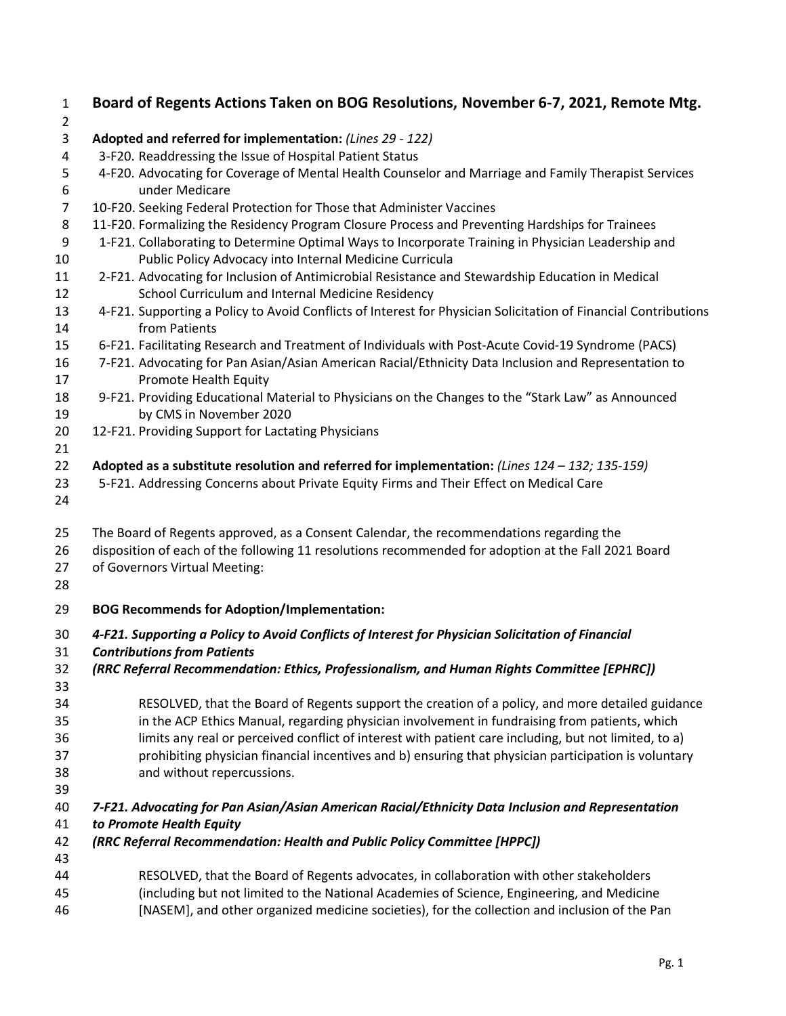| 1<br>$\overline{2}$ | Board of Regents Actions Taken on BOG Resolutions, November 6-7, 2021, Remote Mtg.                                               |
|---------------------|----------------------------------------------------------------------------------------------------------------------------------|
| 3                   | Adopted and referred for implementation: (Lines 29 - 122)                                                                        |
| 4                   | 3-F20. Readdressing the Issue of Hospital Patient Status                                                                         |
| 5                   | 4-F20. Advocating for Coverage of Mental Health Counselor and Marriage and Family Therapist Services                             |
| 6                   | under Medicare                                                                                                                   |
| $\overline{7}$      | 10-F20. Seeking Federal Protection for Those that Administer Vaccines                                                            |
| 8                   | 11-F20. Formalizing the Residency Program Closure Process and Preventing Hardships for Trainees                                  |
| 9                   | 1-F21. Collaborating to Determine Optimal Ways to Incorporate Training in Physician Leadership and                               |
| 10                  | Public Policy Advocacy into Internal Medicine Curricula                                                                          |
| 11                  | 2-F21. Advocating for Inclusion of Antimicrobial Resistance and Stewardship Education in Medical                                 |
| 12                  | School Curriculum and Internal Medicine Residency                                                                                |
| 13<br>14            | 4-F21. Supporting a Policy to Avoid Conflicts of Interest for Physician Solicitation of Financial Contributions<br>from Patients |
| 15                  | 6-F21. Facilitating Research and Treatment of Individuals with Post-Acute Covid-19 Syndrome (PACS)                               |
| 16<br>17            | 7-F21. Advocating for Pan Asian/Asian American Racial/Ethnicity Data Inclusion and Representation to<br>Promote Health Equity    |
| 18<br>19            | 9-F21. Providing Educational Material to Physicians on the Changes to the "Stark Law" as Announced<br>by CMS in November 2020    |
| 20                  | 12-F21. Providing Support for Lactating Physicians                                                                               |
| 21                  |                                                                                                                                  |
| 22                  | Adopted as a substitute resolution and referred for implementation: (Lines $124 - 132$ ; $135-159$ )                             |
| 23<br>24            | 5-F21. Addressing Concerns about Private Equity Firms and Their Effect on Medical Care                                           |
| 25                  | The Board of Regents approved, as a Consent Calendar, the recommendations regarding the                                          |
| 26                  | disposition of each of the following 11 resolutions recommended for adoption at the Fall 2021 Board                              |
| 27                  | of Governors Virtual Meeting:                                                                                                    |
| 28                  |                                                                                                                                  |
| 29                  | <b>BOG Recommends for Adoption/Implementation:</b>                                                                               |
| 30                  | 4-F21. Supporting a Policy to Avoid Conflicts of Interest for Physician Solicitation of Financial                                |
| 31                  | <b>Contributions from Patients</b>                                                                                               |
| 32<br>33            | (RRC Referral Recommendation: Ethics, Professionalism, and Human Rights Committee [EPHRC])                                       |
| 34                  | RESOLVED, that the Board of Regents support the creation of a policy, and more detailed guidance                                 |
| 35                  | in the ACP Ethics Manual, regarding physician involvement in fundraising from patients, which                                    |
| 36                  | limits any real or perceived conflict of interest with patient care including, but not limited, to a)                            |
| 37                  | prohibiting physician financial incentives and b) ensuring that physician participation is voluntary                             |
| 38                  | and without repercussions.                                                                                                       |
| 39                  |                                                                                                                                  |
| 40                  | 7-F21. Advocating for Pan Asian/Asian American Racial/Ethnicity Data Inclusion and Representation                                |
| 41                  | to Promote Health Equity                                                                                                         |
| 42                  | (RRC Referral Recommendation: Health and Public Policy Committee [HPPC])                                                         |
| 43                  |                                                                                                                                  |
| 44                  | RESOLVED, that the Board of Regents advocates, in collaboration with other stakeholders                                          |
| 45                  | (including but not limited to the National Academies of Science, Engineering, and Medicine                                       |
| 46                  | [NASEM], and other organized medicine societies), for the collection and inclusion of the Pan                                    |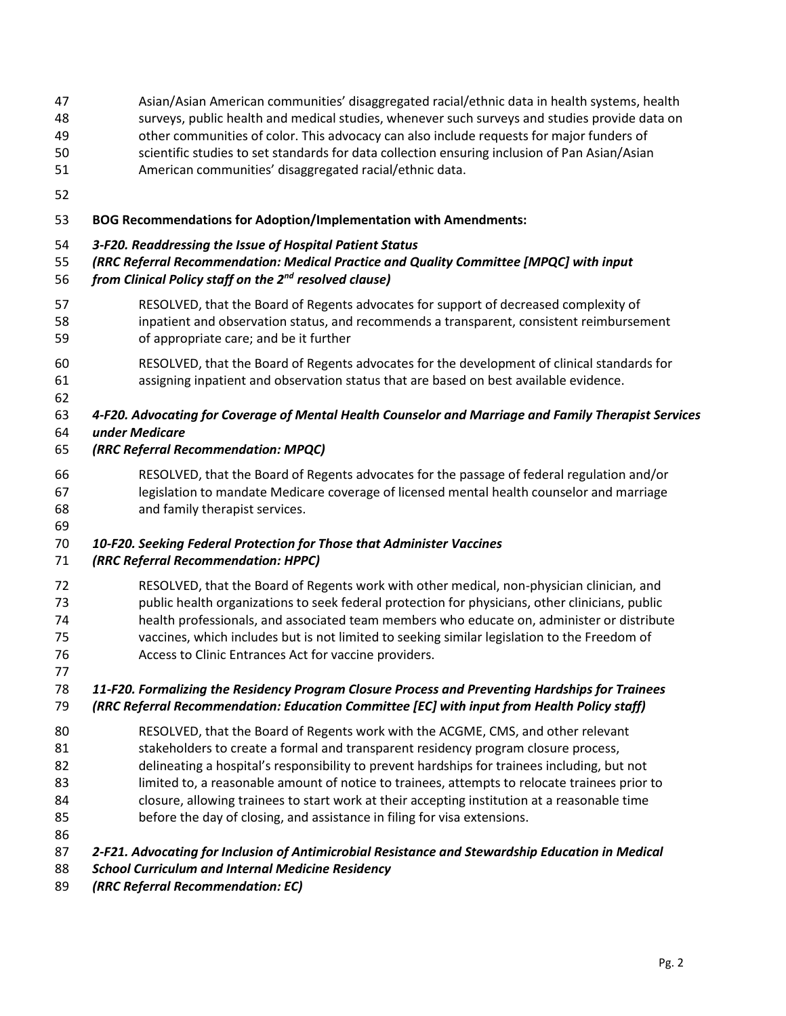Asian/Asian American communities' disaggregated racial/ethnic data in health systems, health

- surveys, public health and medical studies, whenever such surveys and studies provide data on
- other communities of color. This advocacy can also include requests for major funders of
- scientific studies to set standards for data collection ensuring inclusion of Pan Asian/Asian
- American communities' disaggregated racial/ethnic data.
- 

## **BOG Recommendations for Adoption/Implementation with Amendments:**

## *3-F20. Readdressing the Issue of Hospital Patient Status*

*(RRC Referral Recommendation: Medical Practice and Quality Committee [MPQC] with input* 

# *from Clinical Policy staff on the 2<sup>nd</sup> resolved clause)*

- RESOLVED, that the Board of Regents advocates for support of decreased complexity of inpatient and observation status, and recommends a transparent, consistent reimbursement of appropriate care; and be it further
- RESOLVED, that the Board of Regents advocates for the development of clinical standards for assigning inpatient and observation status that are based on best available evidence.

 *4-F20. Advocating for Coverage of Mental Health Counselor and Marriage and Family Therapist Services under Medicare*

## *(RRC Referral Recommendation: MPQC)*

 RESOLVED, that the Board of Regents advocates for the passage of federal regulation and/or legislation to mandate Medicare coverage of licensed mental health counselor and marriage and family therapist services.

*10-F20. Seeking Federal Protection for Those that Administer Vaccines*

## *(RRC Referral Recommendation: HPPC)*

 RESOLVED, that the Board of Regents work with other medical, non-physician clinician, and public health organizations to seek federal protection for physicians, other clinicians, public health professionals, and associated team members who educate on, administer or distribute vaccines, which includes but is not limited to seeking similar legislation to the Freedom of Access to Clinic Entrances Act for vaccine providers. 

#### *11-F20. Formalizing the Residency Program Closure Process and Preventing Hardships for Trainees (RRC Referral Recommendation: Education Committee [EC] with input from Health Policy staff)*

 RESOLVED, that the Board of Regents work with the ACGME, CMS, and other relevant stakeholders to create a formal and transparent residency program closure process, delineating a hospital's responsibility to prevent hardships for trainees including, but not limited to, a reasonable amount of notice to trainees, attempts to relocate trainees prior to closure, allowing trainees to start work at their accepting institution at a reasonable time

- before the day of closing, and assistance in filing for visa extensions.
- 

*2-F21. Advocating for Inclusion of Antimicrobial Resistance and Stewardship Education in Medical* 

- *School Curriculum and Internal Medicine Residency*
- *(RRC Referral Recommendation: EC)*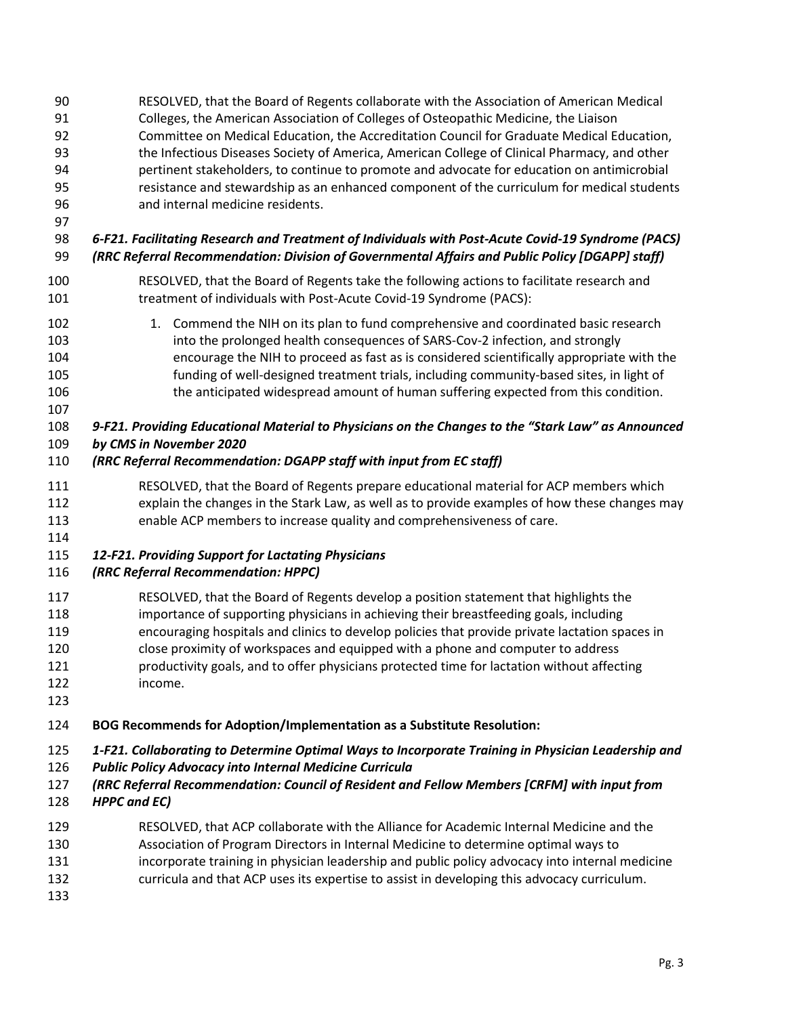RESOLVED, that the Board of Regents collaborate with the Association of American Medical Colleges, the American Association of Colleges of Osteopathic Medicine, the Liaison Committee on Medical Education, the Accreditation Council for Graduate Medical Education, the Infectious Diseases Society of America, American College of Clinical Pharmacy, and other pertinent stakeholders, to continue to promote and advocate for education on antimicrobial resistance and stewardship as an enhanced component of the curriculum for medical students and internal medicine residents.

 *6-F21. Facilitating Research and Treatment of Individuals with Post-Acute Covid-19 Syndrome (PACS) (RRC Referral Recommendation: Division of Governmental Affairs and Public Policy [DGAPP] staff)*

- RESOLVED, that the Board of Regents take the following actions to facilitate research and treatment of individuals with Post-Acute Covid-19 Syndrome (PACS):
- 102 1. Commend the NIH on its plan to fund comprehensive and coordinated basic research into the prolonged health consequences of SARS-Cov-2 infection, and strongly encourage the NIH to proceed as fast as is considered scientifically appropriate with the funding of well-designed treatment trials, including community-based sites, in light of the anticipated widespread amount of human suffering expected from this condition.
- 
- 

 *9-F21. Providing Educational Material to Physicians on the Changes to the "Stark Law" as Announced by CMS in November 2020*

### *(RRC Referral Recommendation: DGAPP staff with input from EC staff)*

- RESOLVED, that the Board of Regents prepare educational material for ACP members which explain the changes in the Stark Law, as well as to provide examples of how these changes may enable ACP members to increase quality and comprehensiveness of care.
- 

#### *12-F21. Providing Support for Lactating Physicians*

## *(RRC Referral Recommendation: HPPC)*

- RESOLVED, that the Board of Regents develop a position statement that highlights the importance of supporting physicians in achieving their breastfeeding goals, including encouraging hospitals and clinics to develop policies that provide private lactation spaces in close proximity of workspaces and equipped with a phone and computer to address productivity goals, and to offer physicians protected time for lactation without affecting income.
- 

## **BOG Recommends for Adoption/Implementation as a Substitute Resolution:**

#### *1-F21. Collaborating to Determine Optimal Ways to Incorporate Training in Physician Leadership and*

- *Public Policy Advocacy into Internal Medicine Curricula*
- *(RRC Referral Recommendation: Council of Resident and Fellow Members [CRFM] with input from*
- *HPPC and EC)*
- RESOLVED, that ACP collaborate with the Alliance for Academic Internal Medicine and the
- Association of Program Directors in Internal Medicine to determine optimal ways to
- 131 incorporate training in physician leadership and public policy advocacy into internal medicine
- curricula and that ACP uses its expertise to assist in developing this advocacy curriculum.
-